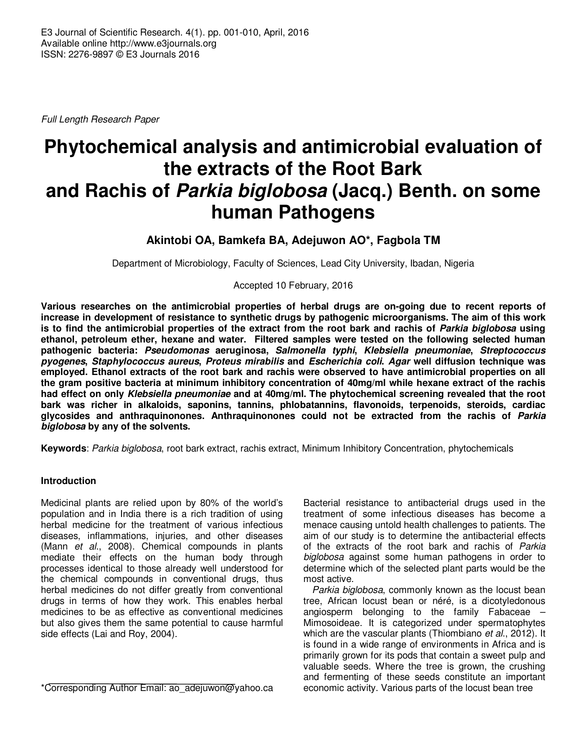Full Length Research Paper

# **Phytochemical analysis and antimicrobial evaluation of the extracts of the Root Bark and Rachis of Parkia biglobosa (Jacq.) Benth. on some human Pathogens**

# **Akintobi OA, Bamkefa BA, Adejuwon AO\*, Fagbola TM**

Department of Microbiology, Faculty of Sciences, Lead City University, Ibadan, Nigeria

Accepted 10 February, 2016

**Various researches on the antimicrobial properties of herbal drugs are on-going due to recent reports of increase in development of resistance to synthetic drugs by pathogenic microorganisms. The aim of this work is to find the antimicrobial properties of the extract from the root bark and rachis of Parkia biglobosa using ethanol, petroleum ether, hexane and water. Filtered samples were tested on the following selected human pathogenic bacteria: Pseudomonas aeruginosa, Salmonella typhi, Klebsiella pneumoniae, Streptococcus pyogenes, Staphylococcus aureus, Proteus mirabilis and Escherichia coli. Agar well diffusion technique was employed. Ethanol extracts of the root bark and rachis were observed to have antimicrobial properties on all the gram positive bacteria at minimum inhibitory concentration of 40mg/ml while hexane extract of the rachis had effect on only Klebsiella pneumoniae and at 40mg/ml. The phytochemical screening revealed that the root bark was richer in alkaloids, saponins, tannins, phlobatannins, flavonoids, terpenoids, steroids, cardiac glycosides and anthraquinonones. Anthraquinonones could not be extracted from the rachis of Parkia biglobosa by any of the solvents.** 

**Keywords**: Parkia biglobosa, root bark extract, rachis extract, Minimum Inhibitory Concentration, phytochemicals

#### **Introduction**

Medicinal plants are relied upon by 80% of the world's population and in India there is a rich tradition of using herbal medicine for the treatment of various infectious diseases, inflammations, injuries, and other diseases (Mann et al., 2008). Chemical compounds in plants mediate their effects on the human body through processes identical to those already well understood for the chemical compounds in conventional drugs, thus herbal medicines do not differ greatly from conventional drugs in terms of how they work. This enables herbal medicines to be as effective as conventional medicines but also gives them the same potential to cause harmful side effects (Lai and Roy, 2004).

\*Corresponding Author Email: ao\_adejuwon@yahoo.ca

Bacterial resistance to antibacterial drugs used in the treatment of some infectious diseases has become a menace causing untold health challenges to patients. The aim of our study is to determine the antibacterial effects of the extracts of the root bark and rachis of Parkia biglobosa against some human pathogens in order to determine which of the selected plant parts would be the most active.

Parkia biglobosa, commonly known as the locust bean tree, African locust bean or néré, is a dicotyledonous angiosperm belonging to the family Fabaceae – Mimosoideae. It is categorized under spermatophytes which are the vascular plants (Thiombiano et al., 2012). It is found in a wide range of environments in Africa and is primarily grown for its pods that contain a sweet pulp and valuable seeds. Where the tree is grown, the crushing and fermenting of these seeds constitute an important economic activity. Various parts of the locust bean tree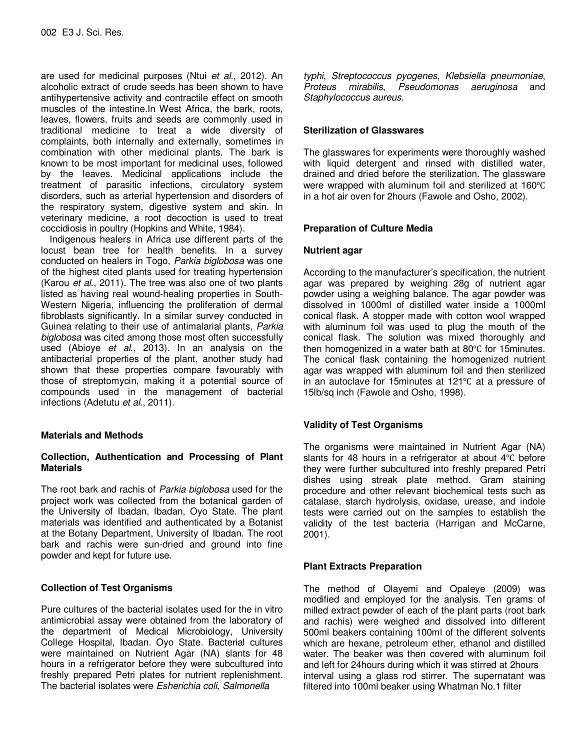are used for medicinal purposes (Ntui et al., 2012). An alcoholic extract of crude seeds has been shown to have antihypertensive activity and contractile effect on smooth muscles of the intestine.In West Africa, the bark, roots, leaves, flowers, fruits and seeds are commonly used in traditional medicine to treat a wide diversity of complaints, both internally and externally, sometimes in combination with other medicinal plants. The bark is known to be most important for medicinal uses, followed by the leaves. Medicinal applications include the treatment of parasitic infections, circulatory system disorders, such as arterial hypertension and disorders of the respiratory system, digestive system and skin. In veterinary medicine, a root decoction is used to treat coccidiosis in poultry (Hopkins and White, 1984).

Indigenous healers in Africa use different parts of the locust bean tree for health benefits. In a survey conducted on healers in Togo, Parkia biglobosa was one of the highest cited plants used for treating hypertension (Karou et al., 2011). The tree was also one of two plants listed as having real wound-healing properties in South-Western Nigeria, influencing the proliferation of dermal fibroblasts significantly. In a similar survey conducted in Guinea relating to their use of antimalarial plants, Parkia biglobosa was cited among those most often successfully used (Abioye et al., 2013). In an analysis on the antibacterial properties of the plant, another study had shown that these properties compare favourably with those of streptomycin, making it a potential source of compounds used in the management of bacterial infections (Adetutu et al., 2011).

#### **Materials and Methods**

#### **Collection, Authentication and Processing of Plant Materials**

The root bark and rachis of Parkia biglobosa used for the project work was collected from the botanical garden of the University of Ibadan, Ibadan, Oyo State. The plant materials was identified and authenticated by a Botanist at the Botany Department, University of Ibadan. The root bark and rachis were sun-dried and ground into fine powder and kept for future use.

## **Collection of Test Organisms**

Pure cultures of the bacterial isolates used for the in vitro antimicrobial assay were obtained from the laboratory of the department of Medical Microbiology, University College Hospital, Ibadan. Oyo State. Bacterial cultures were maintained on Nutrient Agar (NA) slants for 48 hours in a refrigerator before they were subcultured into freshly prepared Petri plates for nutrient replenishment. The bacterial isolates were Esherichia coli, Salmonella

typhi, Streptococcus pyogenes, Klebsiella pneumoniae, Proteus mirabilis, Pseudomonas aeruginosa and Staphylococcus aureus.

#### **Sterilization of Glasswares**

The glasswares for experiments were thoroughly washed with liquid detergent and rinsed with distilled water, drained and dried before the sterilization. The glassware were wrapped with aluminum foil and sterilized at 160℃ in a hot air oven for 2hours (Fawole and Osho, 2002).

#### **Preparation of Culture Media**

#### **Nutrient agar**

According to the manufacturer's specification, the nutrient agar was prepared by weighing 28g of nutrient agar powder using a weighing balance. The agar powder was dissolved in 1000ml of distilled water inside a 1000ml conical flask. A stopper made with cotton wool wrapped with aluminum foil was used to plug the mouth of the conical flask. The solution was mixed thoroughly and then homogenized in a water bath at 80℃ for 15minutes. The conical flask containing the homogenized nutrient agar was wrapped with aluminum foil and then sterilized in an autoclave for 15minutes at 121℃ at a pressure of 15lb/sq inch (Fawole and Osho, 1998).

## **Validity of Test Organisms**

The organisms were maintained in Nutrient Agar (NA) slants for 48 hours in a refrigerator at about 4℃ before they were further subcultured into freshly prepared Petri dishes using streak plate method. Gram staining procedure and other relevant biochemical tests such as catalase, starch hydrolysis, oxidase, urease, and indole tests were carried out on the samples to establish the validity of the test bacteria (Harrigan and McCarne, 2001).

## **Plant Extracts Preparation**

The method of Olayemi and Opaleye (2009) was modified and employed for the analysis. Ten grams of milled extract powder of each of the plant parts (root bark and rachis) were weighed and dissolved into different 500ml beakers containing 100ml of the different solvents which are hexane, petroleum ether, ethanol and distilled water. The beaker was then covered with aluminum foil and left for 24hours during which it was stirred at 2hours interval using a glass rod stirrer. The supernatant was filtered into 100ml beaker using Whatman No.1 filter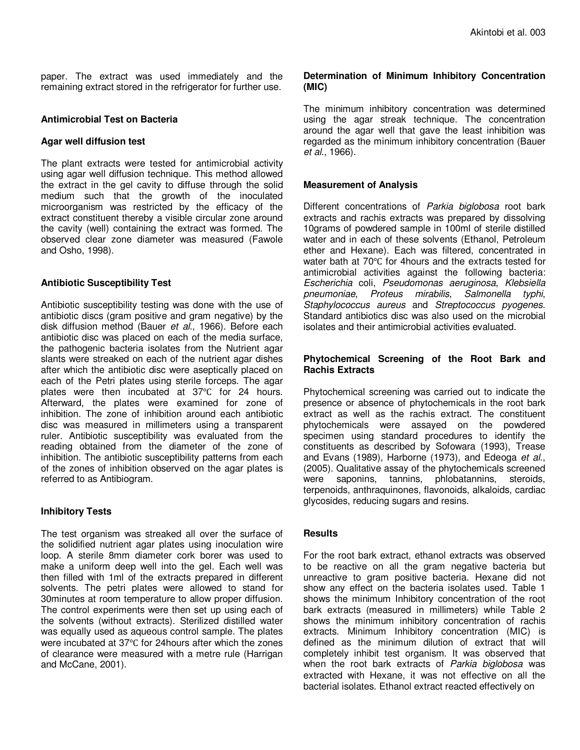paper. The extract was used immediately and the remaining extract stored in the refrigerator for further use.

#### **Antimicrobial Test on Bacteria**

#### **Agar well diffusion test**

The plant extracts were tested for antimicrobial activity using agar well diffusion technique. This method allowed the extract in the gel cavity to diffuse through the solid medium such that the growth of the inoculated microorganism was restricted by the efficacy of the extract constituent thereby a visible circular zone around the cavity (well) containing the extract was formed. The observed clear zone diameter was measured (Fawole and Osho, 1998).

#### **Antibiotic Susceptibility Test**

Antibiotic susceptibility testing was done with the use of antibiotic discs (gram positive and gram negative) by the disk diffusion method (Bauer et al., 1966). Before each antibiotic disc was placed on each of the media surface, the pathogenic bacteria isolates from the Nutrient agar slants were streaked on each of the nutrient agar dishes after which the antibiotic disc were aseptically placed on each of the Petri plates using sterile forceps. The agar plates were then incubated at 37℃ for 24 hours. Afterward, the plates were examined for zone of inhibition. The zone of inhibition around each antibiotic disc was measured in millimeters using a transparent ruler. Antibiotic susceptibility was evaluated from the reading obtained from the diameter of the zone of inhibition. The antibiotic susceptibility patterns from each of the zones of inhibition observed on the agar plates is referred to as Antibiogram.

#### **Inhibitory Tests**

The test organism was streaked all over the surface of the solidified nutrient agar plates using inoculation wire loop. A sterile 8mm diameter cork borer was used to make a uniform deep well into the gel. Each well was then filled with 1ml of the extracts prepared in different solvents. The petri plates were allowed to stand for 30minutes at room temperature to allow proper diffusion. The control experiments were then set up using each of the solvents (without extracts). Sterilized distilled water was equally used as aqueous control sample. The plates were incubated at 37℃ for 24hours after which the zones of clearance were measured with a metre rule (Harrigan and McCane, 2001).

#### **Determination of Minimum Inhibitory Concentration (MIC)**

The minimum inhibitory concentration was determined using the agar streak technique. The concentration around the agar well that gave the least inhibition was regarded as the minimum inhibitory concentration (Bauer et al., 1966).

#### **Measurement of Analysis**

Different concentrations of Parkia biglobosa root bark extracts and rachis extracts was prepared by dissolving 10grams of powdered sample in 100ml of sterile distilled water and in each of these solvents (Ethanol, Petroleum ether and Hexane). Each was filtered, concentrated in water bath at 70℃ for 4hours and the extracts tested for antimicrobial activities against the following bacteria: Escherichia coli, Pseudomonas aeruginosa, Klebsiella pneumoniae, Proteus mirabilis, Salmonella typhi, Staphylococcus aureus and Streptococcus pyogenes. Standard antibiotics disc was also used on the microbial isolates and their antimicrobial activities evaluated.

#### **Phytochemical Screening of the Root Bark and Rachis Extracts**

Phytochemical screening was carried out to indicate the presence or absence of phytochemicals in the root bark extract as well as the rachis extract. The constituent phytochemicals were assayed on the powdered specimen using standard procedures to identify the constituents as described by Sofowara (1993), Trease and Evans (1989), Harborne (1973), and Edeoga et al., (2005). Qualitative assay of the phytochemicals screened were saponins, tannins, phlobatannins, steroids, terpenoids, anthraquinones, flavonoids, alkaloids, cardiac glycosides, reducing sugars and resins.

#### **Results**

For the root bark extract, ethanol extracts was observed to be reactive on all the gram negative bacteria but unreactive to gram positive bacteria. Hexane did not show any effect on the bacteria isolates used. Table 1 shows the minimum Inhibitory concentration of the root bark extracts (measured in millimeters) while Table 2 shows the minimum inhibitory concentration of rachis extracts. Minimum Inhibitory concentration (MIC) is defined as the minimum dilution of extract that will completely inhibit test organism. It was observed that when the root bark extracts of Parkia biglobosa was extracted with Hexane, it was not effective on all the bacterial isolates. Ethanol extract reacted effectively on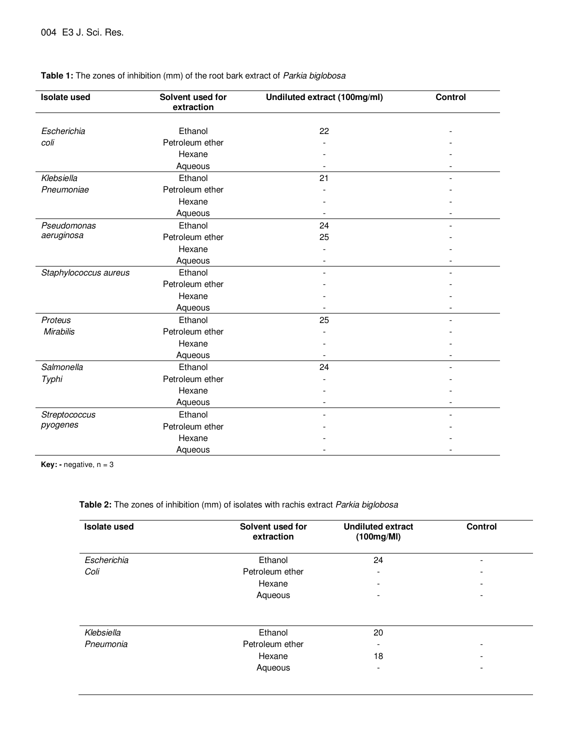| <b>Isolate used</b>       | Solvent used for<br>extraction | Undiluted extract (100mg/ml) | Control |
|---------------------------|--------------------------------|------------------------------|---------|
| Escherichia               | Ethanol                        | 22                           |         |
| coli                      | Petroleum ether                |                              |         |
|                           | Hexane                         |                              |         |
|                           | Aqueous                        |                              |         |
| Klebsiella                | Ethanol                        | 21                           |         |
| Pneumoniae                | Petroleum ether                |                              |         |
|                           | Hexane                         |                              |         |
|                           |                                |                              |         |
|                           | Aqueous                        |                              |         |
| Pseudomonas<br>aeruginosa | Ethanol                        | 24                           |         |
|                           | Petroleum ether                | 25                           |         |
|                           | Hexane                         |                              |         |
|                           | Aqueous                        |                              |         |
| Staphylococcus aureus     | Ethanol                        |                              |         |
|                           | Petroleum ether                |                              |         |
|                           | Hexane                         |                              |         |
|                           | Aqueous                        |                              |         |
| Proteus                   | Ethanol                        | 25                           |         |
| <b>Mirabilis</b>          | Petroleum ether                |                              |         |
|                           | Hexane                         |                              |         |
|                           | Aqueous                        |                              |         |
| Salmonella                | Ethanol                        | 24                           |         |
| Typhi                     | Petroleum ether                |                              |         |
|                           | Hexane                         |                              |         |
|                           | Aqueous                        |                              |         |
| Streptococcus             | Ethanol                        |                              |         |
| pyogenes                  | Petroleum ether                |                              |         |
|                           | Hexane                         |                              |         |
|                           | Aqueous                        |                              |         |

#### **Table 1:** The zones of inhibition (mm) of the root bark extract of Parkia biglobosa

**Key: -** negative, n = 3

#### **Table 2:** The zones of inhibition (mm) of isolates with rachis extract Parkia biglobosa

| <b>Isolate used</b> | Solvent used for<br>extraction | <b>Undiluted extract</b><br>(100mg/MI) | <b>Control</b> |
|---------------------|--------------------------------|----------------------------------------|----------------|
| Escherichia         | Ethanol                        | 24                                     | ۰              |
| Coli                | Petroleum ether                | ٠                                      | -              |
|                     | Hexane                         | $\overline{\phantom{a}}$               | -              |
|                     | Aqueous                        | -                                      | ۰              |
| Klebsiella          | Ethanol                        | 20                                     |                |
| Pneumonia           | Petroleum ether                | $\overline{\phantom{a}}$               | ۰              |
|                     | Hexane                         | 18                                     | -              |
|                     | Aqueous                        | -                                      | ۰              |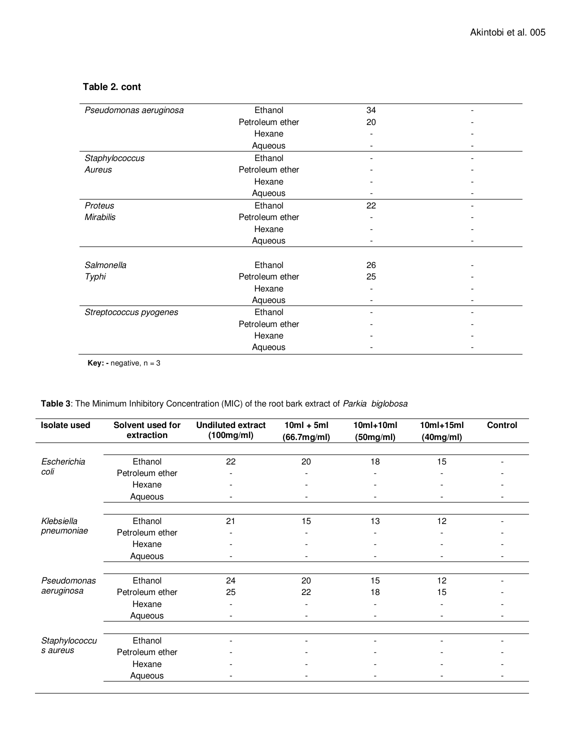| Pseudomonas aeruginosa | Ethanol         | 34 |  |
|------------------------|-----------------|----|--|
|                        | Petroleum ether | 20 |  |
|                        | Hexane          |    |  |
|                        | Aqueous         |    |  |
| Staphylococcus         | Ethanol         |    |  |
| Aureus                 | Petroleum ether |    |  |
|                        | Hexane          |    |  |
|                        | Aqueous         |    |  |
| Proteus                | Ethanol         | 22 |  |
| <b>Mirabilis</b>       | Petroleum ether |    |  |
|                        | Hexane          |    |  |
|                        | Aqueous         |    |  |
|                        |                 |    |  |
| Salmonella             | Ethanol         | 26 |  |
| Typhi                  | Petroleum ether | 25 |  |
|                        | Hexane          |    |  |
|                        | Aqueous         |    |  |
| Streptococcus pyogenes | Ethanol         |    |  |
|                        | Petroleum ether |    |  |
|                        | Hexane          |    |  |
|                        | Aqueous         |    |  |
|                        |                 |    |  |

## **Table 2. cont**

**Key: -** negative,  $n = 3$ 

## **Table 3**: The Minimum Inhibitory Concentration (MIC) of the root bark extract of Parkia biglobosa

| <b>Isolate used</b> | Solvent used for<br>extraction | <b>Undiluted extract</b><br>(100mg/ml) | $10ml + 5ml$<br>(66.7mg/ml) | $10ml+10ml$<br>(50mg/ml) | $10ml+15ml$<br>(40mg/ml) | Control |
|---------------------|--------------------------------|----------------------------------------|-----------------------------|--------------------------|--------------------------|---------|
|                     |                                |                                        |                             |                          |                          |         |
| Escherichia         | Ethanol                        | 22                                     | 20                          | 18                       | 15                       |         |
| coli                | Petroleum ether                |                                        |                             |                          |                          |         |
|                     | Hexane                         | ۰                                      |                             |                          |                          |         |
|                     | Aqueous                        |                                        |                             |                          |                          |         |
|                     |                                |                                        |                             |                          |                          |         |
| Klebsiella          | Ethanol                        | 21                                     | 15                          | 13                       | 12                       |         |
| pneumoniae          | Petroleum ether                |                                        |                             |                          |                          |         |
|                     | Hexane                         |                                        |                             |                          |                          |         |
|                     | Aqueous                        | -                                      |                             |                          |                          |         |
|                     |                                |                                        |                             |                          |                          |         |
| Pseudomonas         | Ethanol                        | 24                                     | 20                          | 15                       | 12                       |         |
| aeruginosa          | Petroleum ether                | 25                                     | 22                          | 18                       | 15                       |         |
|                     | Hexane                         |                                        |                             |                          |                          |         |
|                     | Aqueous                        |                                        |                             |                          |                          |         |
|                     |                                |                                        |                             |                          |                          |         |
| Staphylococcu       | Ethanol                        |                                        |                             |                          |                          |         |
| s aureus            | Petroleum ether                |                                        |                             |                          |                          |         |
|                     | Hexane                         |                                        |                             |                          |                          |         |
|                     | Aqueous                        |                                        |                             |                          |                          |         |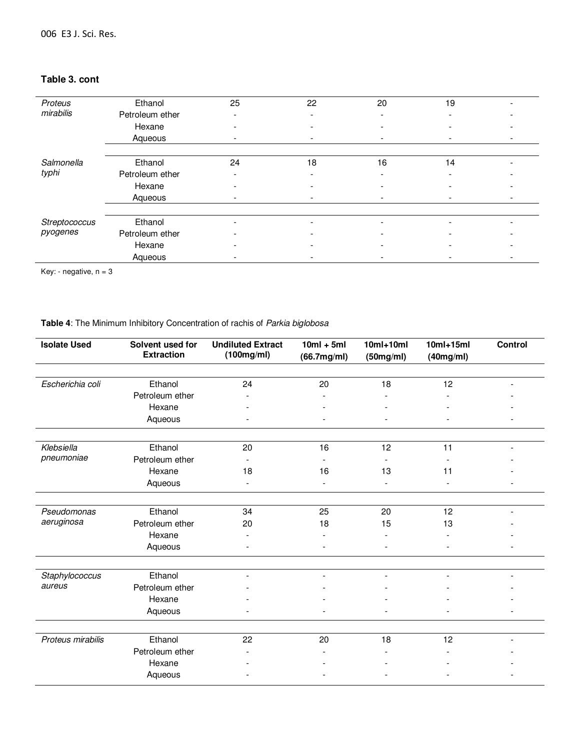# **Table 3. cont**

l,

| Proteus       | Ethanol         | 25 | 22 | 20 | 19 | - |
|---------------|-----------------|----|----|----|----|---|
| mirabilis     | Petroleum ether |    |    |    |    |   |
|               | Hexane          |    |    |    |    |   |
|               | Aqueous         |    |    |    |    |   |
|               |                 |    |    |    |    |   |
| Salmonella    | Ethanol         | 24 | 18 | 16 | 14 |   |
| typhi         | Petroleum ether | -  |    |    |    |   |
|               | Hexane          |    |    |    |    |   |
|               | Aqueous         | -  |    |    |    |   |
|               |                 |    |    |    |    |   |
| Streptococcus | Ethanol         |    |    |    |    |   |
| pyogenes      | Petroleum ether |    |    |    |    |   |
|               | Hexane          |    |    |    |    |   |
|               | Aqueous         |    |    |    |    |   |

Key: - negative,  $n = 3$ 

#### **Table 4**: The Minimum Inhibitory Concentration of rachis of Parkia biglobosa

| <b>Isolate Used</b> | Solvent used for<br><b>Extraction</b> | <b>Undiluted Extract</b><br>(100mg/ml) | $10ml + 5ml$<br>(66.7mg/ml) | $10ml+10ml$<br>(50mg/ml) | $10ml+15ml$<br>(40mg/ml) | <b>Control</b> |
|---------------------|---------------------------------------|----------------------------------------|-----------------------------|--------------------------|--------------------------|----------------|
| Escherichia coli    | Ethanol                               | 24                                     | 20                          | 18                       | 12                       |                |
|                     | Petroleum ether                       |                                        |                             |                          |                          |                |
|                     |                                       |                                        |                             |                          |                          |                |
|                     | Hexane                                |                                        |                             |                          |                          |                |
|                     | Aqueous                               |                                        |                             |                          |                          |                |
| Klebsiella          | Ethanol                               | 20                                     | 16                          | 12                       | 11                       |                |
| pneumoniae          | Petroleum ether                       |                                        | $\overline{\phantom{a}}$    |                          |                          |                |
|                     | Hexane                                | 18                                     | 16                          | 13                       | 11                       |                |
|                     | Aqueous                               |                                        |                             |                          |                          |                |
|                     |                                       |                                        |                             |                          |                          |                |
| Pseudomonas         | Ethanol                               | 34                                     | 25                          | 20                       | 12                       |                |
| aeruginosa          | Petroleum ether                       | 20                                     | 18                          | 15                       | 13                       |                |
|                     | Hexane                                |                                        | $\overline{\phantom{a}}$    |                          |                          |                |
|                     | Aqueous                               |                                        |                             |                          |                          |                |
| Staphylococcus      | Ethanol                               |                                        |                             |                          |                          |                |
| aureus              | Petroleum ether                       |                                        |                             |                          |                          |                |
|                     | Hexane                                |                                        |                             |                          |                          |                |
|                     | Aqueous                               |                                        |                             |                          |                          |                |
|                     |                                       |                                        |                             |                          |                          |                |
| Proteus mirabilis   | Ethanol                               | 22                                     | 20                          | 18                       | 12                       |                |
|                     | Petroleum ether                       |                                        |                             |                          |                          |                |
|                     | Hexane                                |                                        |                             |                          |                          |                |
|                     | Aqueous                               |                                        |                             |                          |                          |                |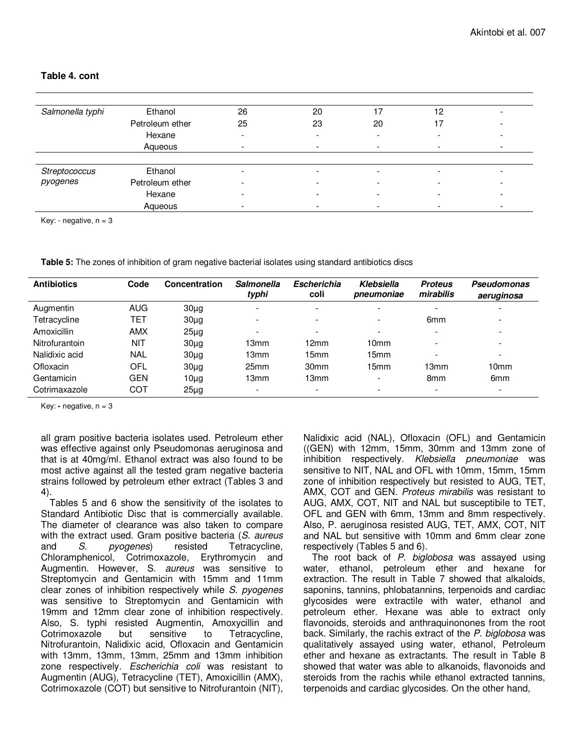| Salmonella typhi | Ethanol         | 26 | 20                       | 17 | 12 |  |
|------------------|-----------------|----|--------------------------|----|----|--|
|                  | Petroleum ether | 25 | 23                       | 20 | 17 |  |
|                  | Hexane          |    | $\overline{\phantom{0}}$ | -  |    |  |
|                  | Aqueous         |    | $\overline{\phantom{a}}$ | -  |    |  |
|                  |                 |    |                          |    |    |  |
| Streptococcus    | Ethanol         |    | $\overline{\phantom{a}}$ |    |    |  |
| pyogenes         | Petroleum ether |    | ۰                        | -  |    |  |
|                  | Hexane          |    | $\overline{\phantom{0}}$ |    |    |  |
|                  | Aqueous         |    | $\overline{\phantom{0}}$ |    |    |  |

**Table 4. cont** 

Key: - negative,  $n = 3$ 

**Table 5:** The zones of inhibition of gram negative bacterial isolates using standard antibiotics discs

| <b>Antibiotics</b> | Code       | Concentration | <b>Salmonella</b><br>typhi | <b>Escherichia</b><br>coli | Klebsiella<br>pneumoniae | <b>Proteus</b><br>mirabilis | <b>Pseudomonas</b><br>aeruginosa |
|--------------------|------------|---------------|----------------------------|----------------------------|--------------------------|-----------------------------|----------------------------------|
| Augmentin          | <b>AUG</b> | $30\mug$      | $\overline{\phantom{a}}$   | $\overline{\phantom{0}}$   | $\overline{\phantom{a}}$ | $\overline{\phantom{a}}$    |                                  |
| Tetracycline       | TET        | $30\mug$      | -                          | -                          |                          | 6 <sub>mm</sub>             |                                  |
| <b>Amoxicillin</b> | <b>AMX</b> | $25\mug$      | $\overline{\phantom{a}}$   | -                          |                          | $\sim$                      | -                                |
| Nitrofurantoin     | NIT        | $30\mug$      | 13mm                       | 12mm                       | 10 <sub>mm</sub>         | $\overline{\phantom{0}}$    | $\overline{\phantom{a}}$         |
| Nalidixic acid     | <b>NAL</b> | $30\mug$      | 13mm                       | 15mm                       | 15mm                     | $\overline{\phantom{a}}$    | $\overline{\phantom{a}}$         |
| <b>Ofloxacin</b>   | OFL        | $30\mug$      | 25 <sub>mm</sub>           | 30 <sub>mm</sub>           | 15mm                     | 13mm                        | 10 <sub>mm</sub>                 |
| Gentamicin         | <b>GEN</b> | $10\mu$ g     | 13mm                       | 13mm                       |                          | 8 <sub>mm</sub>             | 6 <sub>mm</sub>                  |
| Cotrimaxazole      | COT        | $25\mug$      | $\overline{\phantom{a}}$   | $\overline{\phantom{0}}$   |                          | $\overline{\phantom{a}}$    | $\overline{\phantom{a}}$         |

Key: **-** negative, n = 3

all gram positive bacteria isolates used. Petroleum ether was effective against only Pseudomonas aeruginosa and that is at 40mg/ml. Ethanol extract was also found to be most active against all the tested gram negative bacteria strains followed by petroleum ether extract (Tables 3 and 4).

Tables 5 and 6 show the sensitivity of the isolates to Standard Antibiotic Disc that is commercially available. The diameter of clearance was also taken to compare with the extract used. Gram positive bacteria (S. aureus and S. pyogenes) resisted Tetracycline, Chloramphenicol, Cotrimoxazole, Erythromycin and Augmentin. However, S. aureus was sensitive to Streptomycin and Gentamicin with 15mm and 11mm clear zones of inhibition respectively while S. pyogenes was sensitive to Streptomycin and Gentamicin with 19mm and 12mm clear zone of inhibition respectively. Also, S. typhi resisted Augmentin, Amoxycillin and Cotrimoxazole but sensitive to Tetracycline, Nitrofurantoin, Nalidixic acid, Ofloxacin and Gentamicin with 13mm, 13mm, 13mm, 25mm and 13mm inhibition zone respectively. Escherichia coli was resistant to Augmentin (AUG), Tetracycline (TET), Amoxicillin (AMX), Cotrimoxazole (COT) but sensitive to Nitrofurantoin (NIT),

Nalidixic acid (NAL), Ofloxacin (OFL) and Gentamicin ((GEN) with 12mm, 15mm, 30mm and 13mm zone of inhibition respectively. Klebsiella pneumoniae was sensitive to NIT, NAL and OFL with 10mm, 15mm, 15mm zone of inhibition respectively but resisted to AUG, TET, AMX, COT and GEN. Proteus mirabilis was resistant to AUG, AMX, COT, NIT and NAL but susceptibile to TET, OFL and GEN with 6mm, 13mm and 8mm respectively. Also, P. aeruginosa resisted AUG, TET, AMX, COT, NIT and NAL but sensitive with 10mm and 6mm clear zone respectively (Tables 5 and 6).

The root back of P. biglobosa was assayed using water, ethanol, petroleum ether and hexane for extraction. The result in Table 7 showed that alkaloids, saponins, tannins, phlobatannins, terpenoids and cardiac glycosides were extractile with water, ethanol and petroleum ether. Hexane was able to extract only flavonoids, steroids and anthraquinonones from the root back. Similarly, the rachis extract of the P. biglobosa was qualitatively assayed using water, ethanol, Petroleum ether and hexane as extractants. The result in Table 8 showed that water was able to alkanoids, flavonoids and steroids from the rachis while ethanol extracted tannins, terpenoids and cardiac glycosides. On the other hand,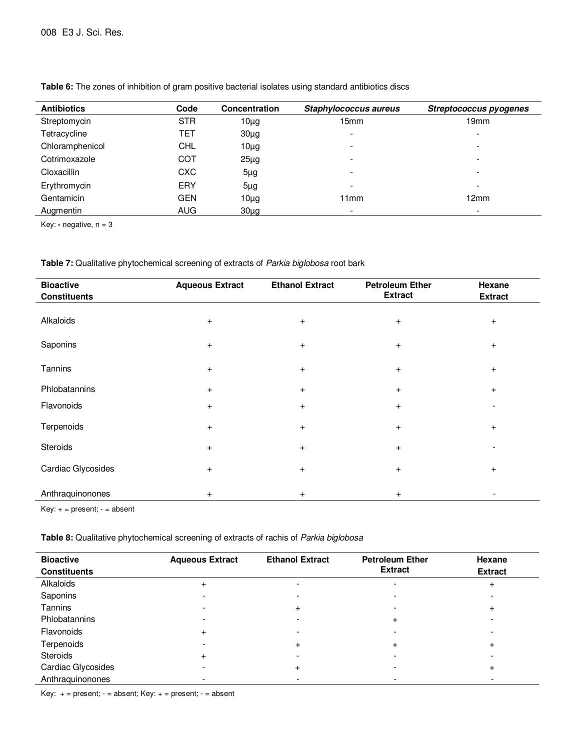| <b>Antibiotics</b> | Code       | <b>Concentration</b> | Staphylococcus aureus    | Streptococcus pyogenes   |
|--------------------|------------|----------------------|--------------------------|--------------------------|
| Streptomycin       | <b>STR</b> | $10\mug$             | 15mm                     | 19mm                     |
| Tetracycline       | TET        | $30\mug$             | $\overline{\phantom{a}}$ | ۰                        |
| Chloramphenicol    | <b>CHL</b> | $10\mug$             | $\overline{\phantom{a}}$ | $\overline{\phantom{0}}$ |
| Cotrimoxazole      | COT        | $25\mug$             | $\overline{\phantom{a}}$ | -                        |
| Cloxacillin        | <b>CXC</b> | $5\mug$              | $\overline{\phantom{a}}$ | -                        |
| Erythromycin       | ERY        | $5\mug$              | $\overline{\phantom{a}}$ |                          |
| Gentamicin         | <b>GEN</b> | $10\mug$             | 11mm                     | 12mm                     |
| Augmentin          | <b>AUG</b> | $30\mug$             | $\overline{\phantom{a}}$ |                          |

**Table 6:** The zones of inhibition of gram positive bacterial isolates using standard antibiotics discs

Key: **-** negative, n = 3

| <b>Bioactive</b><br><b>Constituents</b> | <b>Aqueous Extract</b> | <b>Ethanol Extract</b> | <b>Petroleum Ether</b><br><b>Extract</b> | Hexane<br><b>Extract</b> |
|-----------------------------------------|------------------------|------------------------|------------------------------------------|--------------------------|
| Alkaloids                               | $+$                    | $+$                    | $\ddot{}$                                | $\ddot{}$                |
| Saponins                                | $+$                    | $\ddot{}$              | $\ddot{}$                                | $\ddot{}$                |
| Tannins                                 | $+$                    | $\ddot{}$              | $+$                                      | $\ddot{}$                |
| Phlobatannins                           | $+$                    | $\ddot{}$              | $\ddot{}$                                | $\ddot{}$                |
| Flavonoids                              | $+$                    | $\ddot{}$              | $\ddot{}$                                |                          |
| Terpenoids                              | $+$                    | $\ddot{}$              | $\ddot{}$                                | $\ddot{}$                |
| Steroids                                | $+$                    | $\ddot{}$              | $\ddot{}$                                |                          |
| Cardiac Glycosides                      | $\ddot{}$              | $\ddot{}$              | $\ddot{}$                                | $\ddot{}$                |
| Anthraquinonones                        | $+$                    | $\ddot{}$              | $\ddot{}$                                |                          |

Key: + = present; - = absent

**Table 8:** Qualitative phytochemical screening of extracts of rachis of Parkia biglobosa

| <b>Bioactive</b><br><b>Constituents</b> | <b>Aqueous Extract</b> | <b>Ethanol Extract</b> | <b>Petroleum Ether</b><br><b>Extract</b> | Hexane<br><b>Extract</b> |
|-----------------------------------------|------------------------|------------------------|------------------------------------------|--------------------------|
| Alkaloids                               | $\ddot{}$              | -                      |                                          | $\ddot{}$                |
| Saponins                                |                        |                        |                                          |                          |
| Tannins                                 |                        | $\ddot{}$              |                                          | $\ddot{}$                |
| Phlobatannins                           |                        |                        | $\ddot{}$                                |                          |
| Flavonoids                              | $\ddot{}$              |                        |                                          |                          |
| Terpenoids                              |                        | $\ddot{}$              | $\ddot{}$                                | +                        |
| Steroids                                | $\ddot{}$              |                        |                                          |                          |
| Cardiac Glycosides                      |                        |                        |                                          | $\ddot{}$                |
| Anthraquinonones                        | -                      |                        | $\overline{\phantom{a}}$                 |                          |

Key:  $+=$  present;  $-$  = absent; Key:  $+=$  present;  $-$  = absent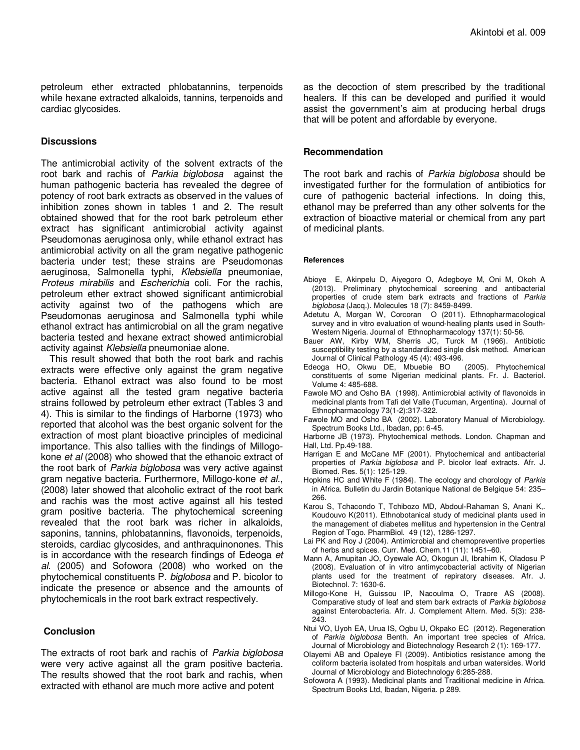petroleum ether extracted phlobatannins, terpenoids while hexane extracted alkaloids, tannins, terpenoids and cardiac glycosides.

#### **Discussions**

The antimicrobial activity of the solvent extracts of the root bark and rachis of Parkia biglobosa against the human pathogenic bacteria has revealed the degree of potency of root bark extracts as observed in the values of inhibition zones shown in tables 1 and 2. The result obtained showed that for the root bark petroleum ether extract has significant antimicrobial activity against Pseudomonas aeruginosa only, while ethanol extract has antimicrobial activity on all the gram negative pathogenic bacteria under test; these strains are Pseudomonas aeruginosa, Salmonella typhi, Klebsiella pneumoniae, Proteus mirabilis and Escherichia coli. For the rachis, petroleum ether extract showed significant antimicrobial activity against two of the pathogens which are Pseudomonas aeruginosa and Salmonella typhi while ethanol extract has antimicrobial on all the gram negative bacteria tested and hexane extract showed antimicrobial activity against Klebsiella pneumoniae alone.

This result showed that both the root bark and rachis extracts were effective only against the gram negative bacteria. Ethanol extract was also found to be most active against all the tested gram negative bacteria strains followed by petroleum ether extract (Tables 3 and 4). This is similar to the findings of Harborne (1973) who reported that alcohol was the best organic solvent for the extraction of most plant bioactive principles of medicinal importance. This also tallies with the findings of Millogokone et al (2008) who showed that the ethanoic extract of the root bark of Parkia biglobosa was very active against gram negative bacteria. Furthermore, Millogo-kone et al., (2008) later showed that alcoholic extract of the root bark and rachis was the most active against all his tested gram positive bacteria. The phytochemical screening revealed that the root bark was richer in alkaloids, saponins, tannins, phlobatannins, flavonoids, terpenoids, steroids, cardiac glycosides, and anthraquinonones. This is in accordance with the research findings of Edeoga et al. (2005) and Sofowora (2008) who worked on the phytochemical constituents P. biglobosa and P. bicolor to indicate the presence or absence and the amounts of phytochemicals in the root bark extract respectively.

#### **Conclusion**

The extracts of root bark and rachis of Parkia biglobosa were very active against all the gram positive bacteria. The results showed that the root bark and rachis, when extracted with ethanol are much more active and potent

as the decoction of stem prescribed by the traditional healers. If this can be developed and purified it would assist the government's aim at producing herbal drugs that will be potent and affordable by everyone.

#### **Recommendation**

The root bark and rachis of Parkia biglobosa should be investigated further for the formulation of antibiotics for cure of pathogenic bacterial infections. In doing this, ethanol may be preferred than any other solvents for the extraction of bioactive material or chemical from any part of medicinal plants.

#### **References**

- Abioye E, Akinpelu D, Aiyegoro O, Adegboye M, Oni M, Okoh A (2013). Preliminary phytochemical screening and antibacterial properties of crude stem bark extracts and fractions of Parkia biglobosa (Jacq.). Molecules 18 (7): 8459-8499.
- Adetutu A, Morgan W, Corcoran O (2011). Ethnopharmacological survey and in vitro evaluation of wound-healing plants used in South-Western Nigeria. Journal of Ethnopharmacology 137(1): 50-56.
- Bauer AW, Kirby WM, Sherris JC, Turck M (1966). Antibiotic susceptibility testing by a standardized single disk method. American Journal of Clinical Pathology 45 (4): 493-496.
- Edeoga HO, Okwu DE, Mbuebie BO (2005). Phytochemical constituents of some Nigerian medicinal plants. Fr. J. Bacteriol. Volume 4: 485-688.
- Fawole MO and Osho BA (1998). Antimicrobial activity of flavonoids in medicinal plants from Tafi del Valle (Tucuman, Argentina). Journal of Ethnopharmacology 73(1-2):317-322.
- Fawole MO and Osho BA (2002). Laboratory Manual of Microbiology. Spectrum Books Ltd., Ibadan, pp: 6-45.

Harborne JB (1973). Phytochemical methods. London. Chapman and Hall, Ltd. Pp.49-188.

- Harrigan E and McCane MF (2001). Phytochemical and antibacterial properties of Parkia biglobosa and P. bicolor leaf extracts. Afr. J. Biomed. Res. 5(1): 125-129.
- Hopkins HC and White F (1984). The ecology and chorology of Parkia in Africa. Bulletin du Jardin Botanique National de Belgique 54: 235– 266.
- Karou S, Tchacondo T, Tchibozo MD, Abdoul-Rahaman S, Anani K,. Koudouvo K(2011). Ethnobotanical study of medicinal plants used in the management of diabetes mellitus and hypertension in the Central Region of Togo. PharmBiol. 49 (12), 1286-1297.
- Lai PK and Roy J (2004). Antimicrobial and chemopreventive properties of herbs and spices. Curr. Med. Chem.11 (11): 1451–60.
- Mann A, Amupitan JO, Oyewale AO, Okogun JI, Ibrahim K, Oladosu P (2008). Evaluation of in vitro antimycobacterial activity of Nigerian plants used for the treatment of repiratory diseases. Afr. J. Biotechnol. 7: 1630-6.
- Millogo-Kone H, Guissou IP, Nacoulma O, Traore AS (2008). Comparative study of leaf and stem bark extracts of Parkia biglobosa against Enterobacteria. Afr. J. Complement Altern. Med. 5(3): 238- 243.
- Ntui VO, Uyoh EA, Urua IS, Ogbu U, Okpako EC (2012). Regeneration of Parkia biglobosa Benth. An important tree species of Africa. Journal of Microbiology and Biotechnology Research 2 (1): 169-177.
- Olayemi AB and Opaleye FI (2009). Antibiotics resistance among the coliform bacteria isolated from hospitals and urban watersides. World Journal of Microbiology and Biotechnology 6:285-288.
- Sofowora A (1993). Medicinal plants and Traditional medicine in Africa. Spectrum Books Ltd, Ibadan, Nigeria. p 289.